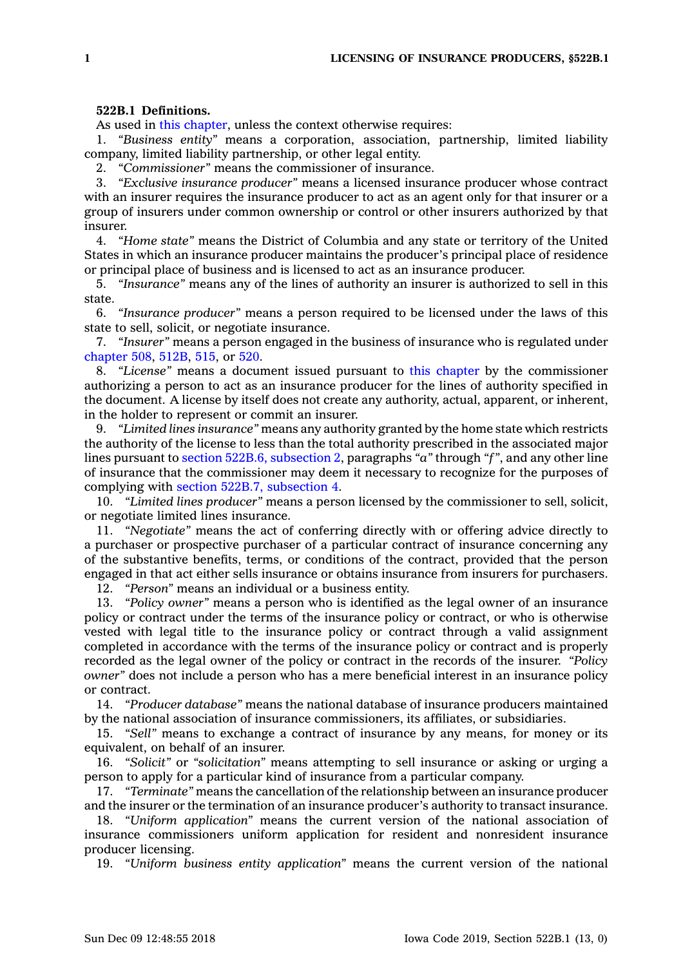## **522B.1 Definitions.**

As used in this [chapter](https://www.legis.iowa.gov/docs/code//522B.pdf), unless the context otherwise requires:

1. *"Business entity"* means <sup>a</sup> corporation, association, partnership, limited liability company, limited liability partnership, or other legal entity.

2. *"Commissioner"* means the commissioner of insurance.

3. *"Exclusive insurance producer"* means <sup>a</sup> licensed insurance producer whose contract with an insurer requires the insurance producer to act as an agent only for that insurer or <sup>a</sup> group of insurers under common ownership or control or other insurers authorized by that insurer.

4. *"Home state"* means the District of Columbia and any state or territory of the United States in which an insurance producer maintains the producer's principal place of residence or principal place of business and is licensed to act as an insurance producer.

5. *"Insurance"* means any of the lines of authority an insurer is authorized to sell in this state.

6. *"Insurance producer"* means <sup>a</sup> person required to be licensed under the laws of this state to sell, solicit, or negotiate insurance.

7. *"Insurer"* means <sup>a</sup> person engaged in the business of insurance who is regulated under [chapter](https://www.legis.iowa.gov/docs/code//508.pdf) 508, [512B](https://www.legis.iowa.gov/docs/code//512B.pdf), [515](https://www.legis.iowa.gov/docs/code//515.pdf), or [520](https://www.legis.iowa.gov/docs/code//520.pdf).

8. *"License"* means <sup>a</sup> document issued pursuant to this [chapter](https://www.legis.iowa.gov/docs/code//522B.pdf) by the commissioner authorizing <sup>a</sup> person to act as an insurance producer for the lines of authority specified in the document. A license by itself does not create any authority, actual, apparent, or inherent, in the holder to represent or commit an insurer.

9. *"Limited lines insurance"* means any authority granted by the home state which restricts the authority of the license to less than the total authority prescribed in the associated major lines pursuant to section 522B.6, [subsection](https://www.legis.iowa.gov/docs/code/522B.6.pdf) 2, paragraphs *"a"* through *"f"*, and any other line of insurance that the commissioner may deem it necessary to recognize for the purposes of complying with section 522B.7, [subsection](https://www.legis.iowa.gov/docs/code/522B.7.pdf) 4.

10. *"Limited lines producer"* means <sup>a</sup> person licensed by the commissioner to sell, solicit, or negotiate limited lines insurance.

11. *"Negotiate"* means the act of conferring directly with or offering advice directly to <sup>a</sup> purchaser or prospective purchaser of <sup>a</sup> particular contract of insurance concerning any of the substantive benefits, terms, or conditions of the contract, provided that the person engaged in that act either sells insurance or obtains insurance from insurers for purchasers.

12. *"Person"* means an individual or <sup>a</sup> business entity.

13. *"Policy owner"* means <sup>a</sup> person who is identified as the legal owner of an insurance policy or contract under the terms of the insurance policy or contract, or who is otherwise vested with legal title to the insurance policy or contract through <sup>a</sup> valid assignment completed in accordance with the terms of the insurance policy or contract and is properly recorded as the legal owner of the policy or contract in the records of the insurer. *"Policy owner"* does not include <sup>a</sup> person who has <sup>a</sup> mere beneficial interest in an insurance policy or contract.

14. *"Producer database"* means the national database of insurance producers maintained by the national association of insurance commissioners, its affiliates, or subsidiaries.

15. *"Sell"* means to exchange <sup>a</sup> contract of insurance by any means, for money or its equivalent, on behalf of an insurer.

16. *"Solicit"* or *"solicitation"* means attempting to sell insurance or asking or urging <sup>a</sup> person to apply for <sup>a</sup> particular kind of insurance from <sup>a</sup> particular company.

17. *"Terminate"* means the cancellation of the relationship between an insurance producer and the insurer or the termination of an insurance producer's authority to transact insurance.

18. *"Uniform application"* means the current version of the national association of insurance commissioners uniform application for resident and nonresident insurance producer licensing.

19. *"Uniform business entity application"* means the current version of the national